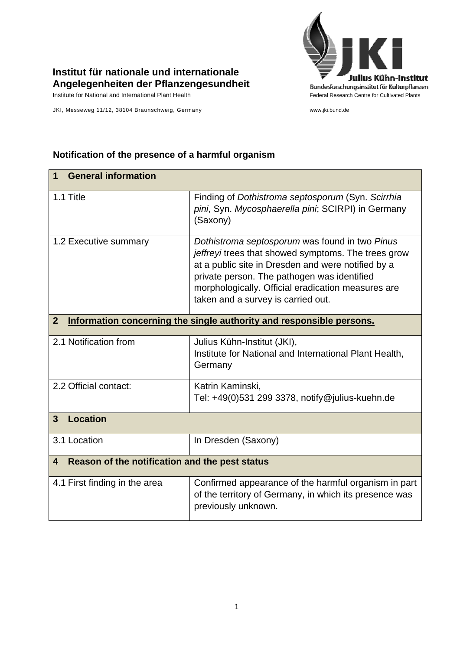

## **Institut für nationale und internationale Angelegenheiten der Pflanzengesundheit**

JKI, Messeweg 11/12, 38104 Braunschweig, Germany www.jki.bund.de

## **1 General information**  1.1 Title Finding of *Dothistroma septosporum* (Syn. *Scirrhia pini*, Syn. *Mycosphaerella pini*; SCIRPI) in Germany (Saxony) 1.2 Executive summary *Dothistroma septosporum* was found in two *Pinus jeffreyi* trees that showed symptoms. The trees grow at a public site in Dresden and were notified by a private person. The pathogen was identified morphologically. Official eradication measures are taken and a survey is carried out. **2 Information concerning the single authority and responsible persons.** 2.1 Notification from Julius Kühn-Institut (JKI), Institute for National and International Plant Health, **Germany** 2.2 Official contact: Katrin Kaminski, Tel: +49(0)531 299 3378, notify@julius-kuehn.de **3 Location**  3.1 Location **In Dresden (Saxony) 4 Reason of the notification and the pest status**  4.1 First finding in the area **Confirmed appearance of the harmful organism in part** of the territory of Germany, in which its presence was previously unknown.

## **Notification of the presence of a harmful organism**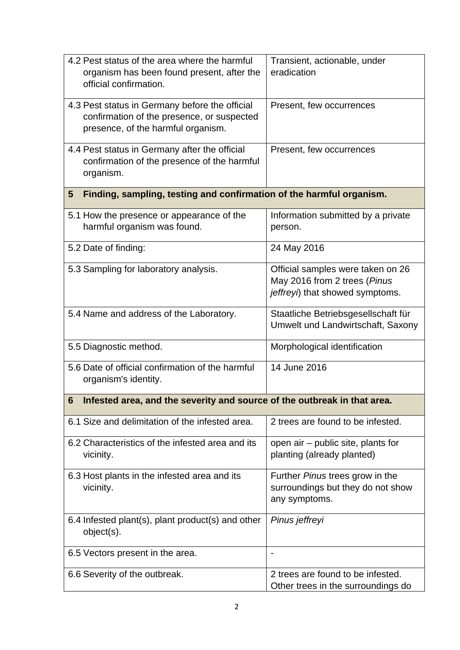| 4.2 Pest status of the area where the harmful                              | Transient, actionable, under                                      |
|----------------------------------------------------------------------------|-------------------------------------------------------------------|
| organism has been found present, after the                                 | eradication                                                       |
| official confirmation.                                                     |                                                                   |
| 4.3 Pest status in Germany before the official                             | Present, few occurrences                                          |
| confirmation of the presence, or suspected                                 |                                                                   |
| presence, of the harmful organism.                                         |                                                                   |
| 4.4 Pest status in Germany after the official                              | Present, few occurrences                                          |
| confirmation of the presence of the harmful                                |                                                                   |
| organism.                                                                  |                                                                   |
| Finding, sampling, testing and confirmation of the harmful organism.<br>5  |                                                                   |
| 5.1 How the presence or appearance of the                                  | Information submitted by a private                                |
| harmful organism was found.                                                | person.                                                           |
| 5.2 Date of finding:                                                       | 24 May 2016                                                       |
|                                                                            |                                                                   |
| 5.3 Sampling for laboratory analysis.                                      | Official samples were taken on 26<br>May 2016 from 2 trees (Pinus |
|                                                                            | jeffreyi) that showed symptoms.                                   |
|                                                                            |                                                                   |
| 5.4 Name and address of the Laboratory.                                    | Staatliche Betriebsgesellschaft für                               |
|                                                                            | Umwelt und Landwirtschaft, Saxony                                 |
| 5.5 Diagnostic method.                                                     | Morphological identification                                      |
| 5.6 Date of official confirmation of the harmful                           | 14 June 2016                                                      |
| organism's identity.                                                       |                                                                   |
| 6 Infested area, and the severity and source of the outbreak in that area. |                                                                   |
|                                                                            |                                                                   |
| 6.1 Size and delimitation of the infested area.                            | 2 trees are found to be infested.                                 |
| 6.2 Characteristics of the infested area and its                           | open air – public site, plants for                                |
| vicinity.                                                                  | planting (already planted)                                        |
| 6.3 Host plants in the infested area and its                               | Further Pinus trees grow in the                                   |
| vicinity.                                                                  | surroundings but they do not show                                 |
|                                                                            | any symptoms.                                                     |
| 6.4 Infested plant(s), plant product(s) and other                          | Pinus jeffreyi                                                    |
| object(s).                                                                 |                                                                   |
|                                                                            |                                                                   |
| 6.5 Vectors present in the area.                                           |                                                                   |
| 6.6 Severity of the outbreak.                                              | 2 trees are found to be infested.                                 |
|                                                                            | Other trees in the surroundings do                                |